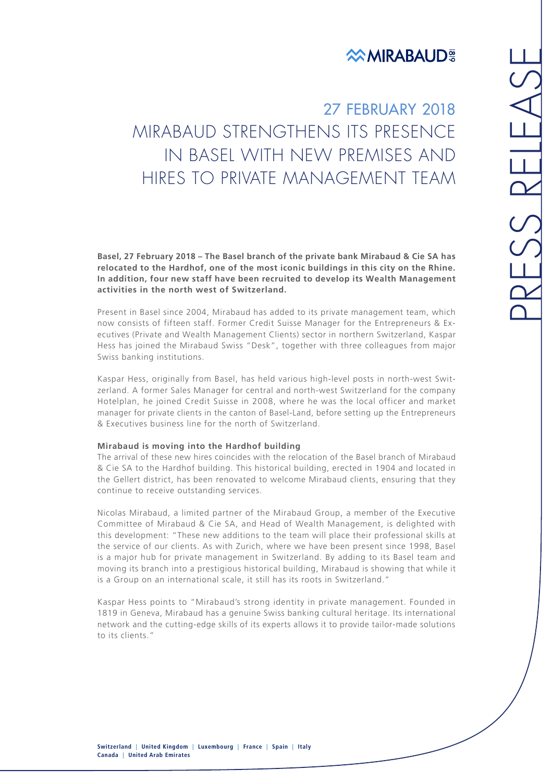## **EXAMIRABAUD**

27 FEBRUARY 2018 MIRABAUD STRENGTHENS ITS PRESENCE IN BASEL WITH NEW PREMISES AND HIRES TO PRIVATE MANAGEMENT TEAM

**Basel, 27 February 2018 – The Basel branch of the private bank Mirabaud & Cie SA has relocated to the Hardhof, one of the most iconic buildings in this city on the Rhine. In addition, four new staff have been recruited to develop its Wealth Management activities in the north west of Switzerland.**

Present in Basel since 2004, Mirabaud has added to its private management team, which now consists of fifteen staff. Former Credit Suisse Manager for the Entrepreneurs & Executives (Private and Wealth Management Clients) sector in northern Switzerland, Kaspar Hess has joined the Mirabaud Swiss "Desk", together with three colleagues from major Swiss banking institutions.

Kaspar Hess, originally from Basel, has held various high-level posts in north-west Switzerland. A former Sales Manager for central and north-west Switzerland for the company Hotelplan, he joined Credit Suisse in 2008, where he was the local officer and market manager for private clients in the canton of Basel-Land, before setting up the Entrepreneurs & Executives business line for the north of Switzerland.

## **Mirabaud is moving into the Hardhof building**

The arrival of these new hires coincides with the relocation of the Basel branch of Mirabaud & Cie SA to the Hardhof building. This historical building, erected in 1904 and located in the Gellert district, has been renovated to welcome Mirabaud clients, ensuring that they continue to receive outstanding services.

Nicolas Mirabaud, a limited partner of the Mirabaud Group, a member of the Executive Committee of Mirabaud & Cie SA, and Head of Wealth Management, is delighted with this development: "These new additions to the team will place their professional skills at the service of our clients. As with Zurich, where we have been present since 1998, Basel is a major hub for private management in Switzerland. By adding to its Basel team and moving its branch into a prestigious historical building, Mirabaud is showing that while it is a Group on an international scale, it still has its roots in Switzerland."

Kaspar Hess points to "Mirabaud's strong identity in private management. Founded in 1819 in Geneva, Mirabaud has a genuine Swiss banking cultural heritage. Its international network and the cutting-edge skills of its experts allows it to provide tailor-made solutions to its clients."